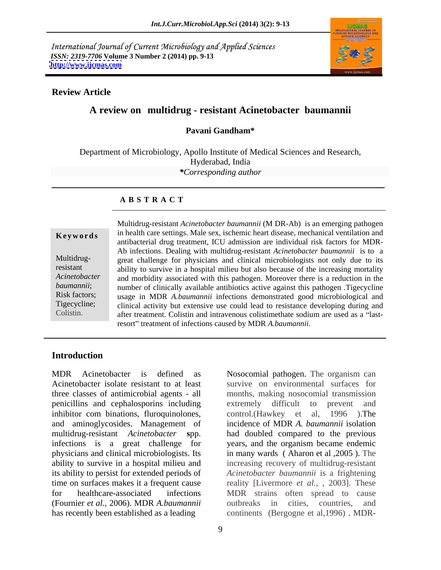International Journal of Current Microbiology and Applied Sciences *ISSN: 2319-7706* **Volume 3 Number 2 (2014) pp. 9-13 <http://www.ijcmas.com>**



### **Review Article**

## **A review on multidrug - resistant Acinetobacter baumannii**

### **Pavani Gandham\***

Department of Microbiology, Apollo Institute of Medical Sciences and Research, Hyderabad, India *\*Corresponding author* 

### **A B S T R A C T**

Multidrug-

**Keywords** in health care settings. Male sex, ischemic heart disease, mechanical ventilation and resistant ability to survive in a hospital milieu but also because of the increasing mortality *Acinetobacter*  and morbidity associated with this pathogen. Moreover there is a reduction in the baumannii; number of clinically available antibiotics active against this pathogen .Tigecycline Risk factors; usage in MDR *A.baumannii* infections demonstrated good microbiological and Tigecycline; clinical activity but extensive use could lead to resistance developing during and Colistin. after treatment. Colistin and intravenous colistimethate sodium are used as a "last-Multidrug-resistant *Acinetobacter baumannii* (M DR-Ab) is an emerging pathogen antibacterial drug treatment, ICU admission are individual risk factors for MDR- Ab infections. Dealing with multidrug-resistant *Acinetobacter baumannii* is to a great challenge for physicians and clinical microbiologists not only due to its resort" treatment of infections caused by MDR A.baumannii.

## **Introduction**

MDR Acinetobacter is defined as Nosocomial pathogen. The organism can Acinetobacter isolate resistant to at least survive on environmental surfaces for three classes of antimicrobial agents - all months, making nosocomial transmission penicillins and cephalosporins including inhibitor com binations, fluroquinolones, control. (Hawkey et al, 1996). The and aminoglycosides. Management of multidrug-resistant *Acinetobacter* **s**pp. had doubled compared to the previous infections is a great challenge for years, and the organism became endemic physicians and clinical microbiologists. Its in many wards ( Aharon et al ,2005 ). The ability to survive in a hospital milieu and increasing recovery of multidrug-resistant its ability to persist for extended periods of *Acinetobacter baumannii* is a frightening time on surfaces makes it a frequent cause reality [Livermore *et al.,* , 2003]. These for healthcare-associated infections (Fournier *et al.,* 2006). MDR *A.baumannii*

has recently been established as a leading continents (Bergogne et al,1996) . MDR-Nosocomial pathogen. The organism can extremely difficult to prevent and control.(Hawkey et al, 1996 ).The incidence of MDR *A. baumannii* isolation MDR strains often spread to cause outbreaks in cities, countries, and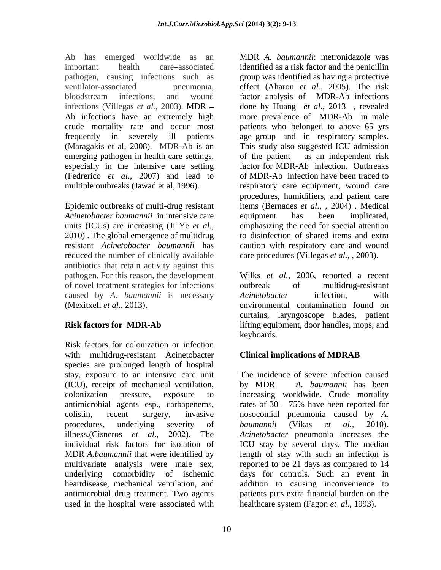Ab has emerged worldwide as an MDR *A. baumannii*: metronidazole was frequently in severely ill patients age group and in respiratory samples. (Maragakis et al, 2008). MDR-Ab is an This study also suggested ICU admission emerging pathogen in health care settings, of the patient as an independent risk especially in the intensive care setting (Fedrerico *et al.,* 2007) and lead to

*Acinetobacter baumannii* in intensive care reduced the number of clinically available antibiotics that retain activity against this of novel treatment strategies for infections caused by *A. baumannii* is necessary

Risk factors for colonization or infection with multidrug-resistant Acinetobacter **Clinical implications of MDRAB** species are prolonged length of hospital stay, exposure to an intensive care unit (ICU), receipt of mechanical ventilation, by MDR A. baumannii has been colonization pressure, exposure to increasing worldwide. Crude mortality antimicrobial agents esp., carbapenems, rates of  $30 - 75\%$  have been reported for colistin, recent surgery, invasive nosocomial pneumonia caused by *A.* procedures, underlying severity of *baumannii* (Vikas et al., 2010). illness.(Cisneros *et al*., 2002). The *Acinetobacter* pneumonia increases the individual risk factors for isolation of ICU stay by several days. The median MDR *A.baumannii* that were identified by length of stay with such an infection is multivariate analysis were male sex, reported to be 21 days as compared to 14 underlying comorbidity of ischemic days for controls. Such an event in heartdisease, mechanical ventilation, and addition to causing inconvenience to antimicrobial drug treatment. Two agents patients puts extra financial burden on the used in the hospital were associated with healthcare system (Fagon *et al.*, 1993).

important health care associated identified as a risk factor and the penicillin pathogen, causing infections such as group was identified as having a protective ventilator-associated pneumonia, effect (Aharon *et al.*, 2005). The risk bloodstream infections, and wound factor analysis of MDR-Ab infections infections (Villegas *et al.,* 2003). MDR done by Huang *et al*., 2013 , revealed Ab infections have an extremely high more prevalence of MDR-Ab in male crude mortality rate and occur most patients who belonged to above 65 yrs multiple outbreaks (Jawad et al, 1996). respiratory care equipment, wound care Epidemic outbreaks of multi-drug resistant items (Bernades *et al.,* , 2004) . Medical units (ICUs) are increasing (Ji Ye *et al.,* emphasizing the need for special attention 2010) . The global emergence of multidrug to disinfection of shared items and extra resistant *Acinetobacter baumannii* has caution with respiratory care and wound factor analysis of MDR-Ab infections age group and in respiratory samples. This study also suggested ICU admission of the patient as an independent risk factor for MDR-Ab infection. Outbreaks of MDR-Ab infection have been traced to procedures, humidifiers, and patient care equipment has been implicated, care procedures (Villegas *et al.,* , 2003).

pathogen. For this reason, the development Wilks *et al.,* 2006, reported a recent (Mexitxell *et al.,* 2013). environmental contamination found on **Risk factors for MDR-Ab** lifting equipment, door handles, mops, and outbreak of multidrug-resistant *Acinetobacter* infection, with curtains, laryngoscope blades, patient keyboards.

# **Clinical implications of MDRAB**

The incidence of severe infection caused by MDR *A. baumannii* has been rates of  $30 - 75\%$  have been reported for *baumannii* (Vikas *et al.,* 2010). healthcare system (Fagon *et al*., 1993).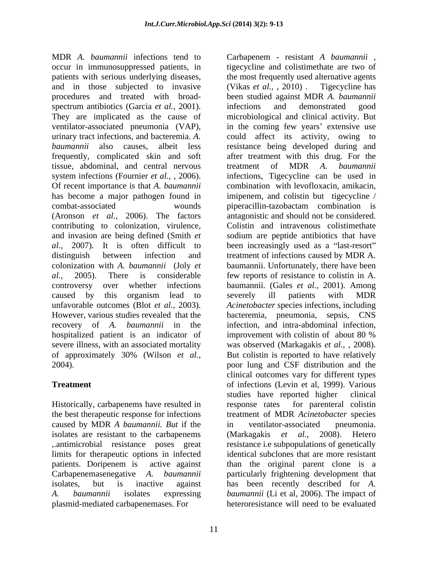MDR *A. baumannii* infections tend to Carbapenem - resistant *A baumannii* , occur in immunosuppressed patients, in tigecycline and colistimethate are two of patients with serious underlying diseases, and in those subjected to invasive (Vikas *et al.*, 2010). Tigecycline has procedures and treated with broad spectrum antibiotics (Garcia *et al.*, 2001). Infections and demonstrated good<br>They are implicated as the cause of microbiological and clinical activity. But ventilator-associated pneumonia (VAP), in the coming few years' extensive use urinary tract infections, and bacteremia. *A.*  could affect its activity, owing to *baumannii* also causes, albeit less resistance being developed during and frequently, complicated skin and soft tissue, abdominal, and central nervous treatment of MDR A. baumannii system infections (Fournier *et al.*, , 2006). infections, Tigecycline can be used in Of recent importance is that *A. baumannii* combination with levofloxacin,amikacin, has become a major pathogen found in combat-associated wounds (Aronson *et al.,* 2006). The factors contributing to colonization, virulence, and invasion are being defined (Smith *et* sodium are peptide antibiotics that have al., 2007). It is often difficult to been increasingly used as a "last-resort" distinguish between infection and treatment of infections caused by MDR A. colonization with *A. baumannii* (Joly *et*  baumannii. Unfortunately, there have been *al.,* 2005). There is considerable few reports of resistance to colistin in A. controversy over whether infections baumannii. (Gales *et al.,* 2001). Among caused by this organism lead to severely ill patients with MDR unfavorable outcomes (Blot *et al.,* 2003). *Acinetobacter* species infections, including However, various studies revealed that the bacteremia, pneumonia, sepsis, CNS recovery of *A. baumannii* in the infection, and intra-abdominal infection, hospitalized patient is an indicator of improvement with colistin of about 80 % severe illness, with an associated mortality was observed (Markagakis *et al.,* , 2008). of approximately 30% (Wilson *et al.,* But colistin is reported to have relatively

Historically, carbapenems have resulted in response rates for parenteral colistin caused by MDR *A baumannii. But* if the isolates are resistant to the carbapenems (Markagakis et al., 2008). Hetero limits for therapeutic options in infected *A. baumannii* isolates expressing *baumannii* (Li et al, 2006). The impact of plasmid-mediated carbapenemases. For heteroresistance will need to be evaluated

11

2004). poor lung and CSF distribution and the **Treatment Treatment of infections (Levin et al, 1999). Various** the best therapeutic response for infections treatment of MDR *Acinetobacter* species ,.antimicrobial resistance poses great resistance i.e subpopulations of genetically patients. Doripenem is active against than the original parent clone is a Carbapenemasenegative *A. baumannii* particularly frightening development that isolates, but is inactive against has been recently described for *A.*  the most frequently used alternative agents (Vikas *et al.,* , 2010) . Tigecycline has been studied against MDR *A. baumannii* infections and demonstrated good microbiological and clinical activity. But after treatment with this drug. For the treatment of MDR *A. baumannii* imipenem, and colistin but tigecycline / piperacillin-tazobactam combination is antagonistic and should not be considered. Colistin and intravenous colistimethate severely ill patients with MDR improvement with colistin of about 80 % clinical outcomes vary for different types studies have reported higher clinical response rates for parenteral colistin in ventilator-associated pneumonia. (Markagakis *et al.,* 2008). Hetero identical subclones that are more resistant *baumannii* (Li et al, 2006). The impact of heteroresistance will need to be evaluated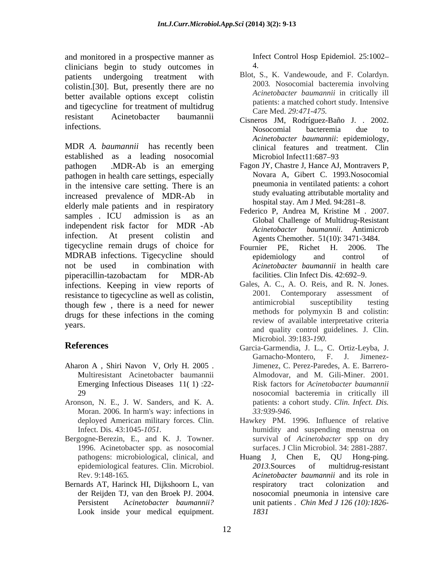and monitored in a prospective manner as <br>clinicians begin to study outcomes in  $\frac{4}{3}$ clinicians begin to study outcomes in patients undergoing treatment with Blot, S., K. Vandewoude, and F. Colardyn. colistin.[30]. But, presently there are no better available options except colistin and tigecycline for treatment of multidrug resistant Acinetobacter baumannii Cisneros JM, Rodríguez-Baño J. . 2002.

MDR *A. baumannii* has recently been established as a leading nosocomial pathogen .MDR-Ab is an emerging Fagon JY, Chastre J, Hance AJ, MontraversP, pathogen in health care settings, especially in the intensive care setting. There is an increased prevalence of MDR-Ab in elderly male patients and in respiratory hospital stay. Am J Med. 94:281–8.<br>Federico P, Andrea M, Kristine M . 2007. samples . ICU admission is as an  $\frac{1 \text{ Cacl}}{\text{Clobel}}$  Challenge of Multidrug Position independent risk factor for MDR -Ab<br>Acinetobacter baumannii. Antimicrob infection. At present colistin and Agents Chemother. 51(10): 3471-3484. tigecycline remain drugs of choice for Fournier PE, Richet H. 2006. The MDRAB infections. Tigecycline should begidemiology and control of not be used in combination with *Acinetobacter baumannii* in health care piperacillin-tazobactam for MDR-Ab infections. Keeping in view reports of Gales, A. C., A. O. Reis, and R. N. Jones.<br>
resistance to tigecycline as well as colistin 2001. Contemporary assessment of resistance to tigecycline as well as colistin,<br>though four there is a need for neuron antimicrobial susceptibility testing though few , there is a need for newer drugs for these infections in the coming

- Aharon A , Shiri Navon V, Orly H*.* 2005 .
- Aronson, N. E., J. W. Sanders, and K. A. Moran. 2006*.* In harm's way: infections in
- Bergogne-Berezin, E., and K. J. Towner.
- Bernards AT, Harinck HI, Dijkshoorn L, van Look inside your medical equipment.

Infect Control Hosp Epidemiol. 25:1002 4.

- 2003*.* Nosocomial bacteremia involving *Acinetobacter baumannii* in critically ill patients: a matched cohort study. Intensive Care Med. *29:471-475.*
- infections. Nosocomial bacteremia due to Nosocomial bacteremia due to *Acinetobacter baumannii*: epidemiology, clinical features and treatment. Clin Microbiol Infect11:687–93
	- Novara A, Gibert C. 1993.Nosocomial pneumonia in ventilated patients: a cohort study evaluating attributable mortality and hospital stay. Am J Med. 94:281-8.
	- Federico P, Andrea M, Kristine M *.* 2007. Global Challenge of Multidrug-Resistant *Acinetobacter baumannii.*
	- Fournier PE, Richet H. 2006. The epidemiology and control of facilities. Clin Infect Dis. 42:692–9.
- years.<br>
and quality control guidelines. J. Clin. Gales, A. C., A. O. Reis, and R. N. Jones. 2001*.* Contemporary assessment of antimicrobial susceptibility testing methods for polymyxin B and colistin: review of available interpretative criteria Microbiol. 39:183*-190.*
- **References** Garcia-Garmendia, J. L., C. Ortiz-Leyba, J. Multiresistant Acinetobacter baumannii Almodovar, and M. Gili-Miner. 2001*.* Emerging Infectious Diseases 11( 1) :22- Risk factors for *Acinetobacter baumannii* 29 nosocomial bacteremia in critically ill Garnacho-Montero, F. J. Jimenez- Jimenez, C. Perez-Paredes, A. E. Barrero patients: a cohort study. *Clin. Infect. Dis. 33:939-946.*
	- deployed American military forces. Clin. Hawkey PM. 1996. Influence of relative Infect. Dis. 43:1045*-1051.* humidity and suspending menstrua on 1996. Acinetobacter spp. as nosocomial surfaces. J Clin Microbiol. 34: 2881-2887. survival of *Acinetobacter* spp on dry
	- pathogens: microbiological, clinical, and Huang J, Chen E, QU Hong-ping. epidemiological features. Clin. Microbiol. 2013. Sources of multidrug-resistant Rev. 9:148-165*. Acinetobacter baumannii* and its role in der Reijden TJ, van den Broek PJ. 2004. **Participal entity in the analytist and P**ersistent Acinetobacter *baumannii*? unit patients *Chin Med J 126 (10):1826*-Huang J, Chen E, QU Hong-ping. *2013.*Sources of multidrug-resistant respiratory tract colonization and nosocomial pneumonia in intensive care unit patients . *Chin Med J 126 (10):1826- 1831*